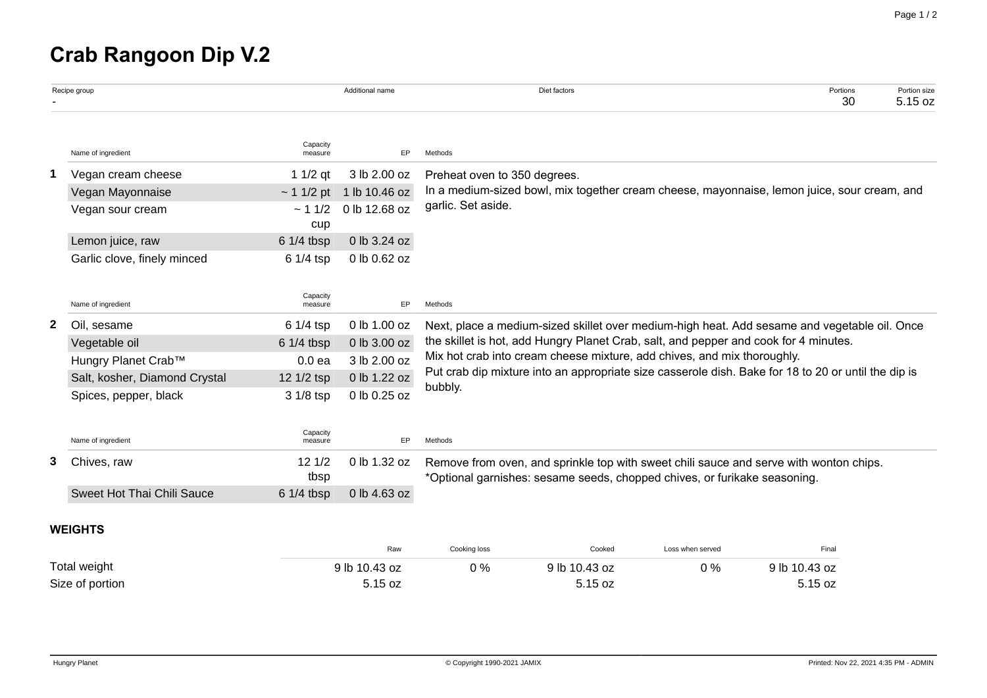## **Crab Rangoon Dip V.2**

|                 | Recipe group                  |                     | Additional name |                                                                                                                                                                                                                                                                                                                                                                                   | Diet factors |                  | Portions<br>30 | Portion size<br>5.15 oz |  |
|-----------------|-------------------------------|---------------------|-----------------|-----------------------------------------------------------------------------------------------------------------------------------------------------------------------------------------------------------------------------------------------------------------------------------------------------------------------------------------------------------------------------------|--------------|------------------|----------------|-------------------------|--|
|                 | Name of ingredient            | Capacity<br>measure | EP              | Methods                                                                                                                                                                                                                                                                                                                                                                           |              |                  |                |                         |  |
| 1               | Vegan cream cheese            | 1 $1/2$ qt          | 3 lb 2.00 oz    | Preheat oven to 350 degrees.                                                                                                                                                                                                                                                                                                                                                      |              |                  |                |                         |  |
|                 | Vegan Mayonnaise              | ~11/2~pt            | 1 lb 10.46 oz   | In a medium-sized bowl, mix together cream cheese, mayonnaise, lemon juice, sour cream, and                                                                                                                                                                                                                                                                                       |              |                  |                |                         |  |
|                 | Vegan sour cream              | ~11/2<br>cup        | 0 lb 12.68 oz   | garlic. Set aside.                                                                                                                                                                                                                                                                                                                                                                |              |                  |                |                         |  |
|                 | Lemon juice, raw              | $61/4$ tbsp         | 0 lb 3.24 oz    |                                                                                                                                                                                                                                                                                                                                                                                   |              |                  |                |                         |  |
|                 | Garlic clove, finely minced   | 6 1/4 tsp           | 0 lb 0.62 oz    |                                                                                                                                                                                                                                                                                                                                                                                   |              |                  |                |                         |  |
|                 | Name of ingredient            | Capacity<br>measure | EP              | Methods                                                                                                                                                                                                                                                                                                                                                                           |              |                  |                |                         |  |
| 2               | Oil, sesame                   | 6 1/4 tsp           | 0 lb 1.00 oz    | Next, place a medium-sized skillet over medium-high heat. Add sesame and vegetable oil. Once<br>the skillet is hot, add Hungry Planet Crab, salt, and pepper and cook for 4 minutes.<br>Mix hot crab into cream cheese mixture, add chives, and mix thoroughly.<br>Put crab dip mixture into an appropriate size casserole dish. Bake for 18 to 20 or until the dip is<br>bubbly. |              |                  |                |                         |  |
|                 | Vegetable oil                 | 6 1/4 tbsp          | 0 lb 3.00 oz    |                                                                                                                                                                                                                                                                                                                                                                                   |              |                  |                |                         |  |
|                 | Hungry Planet Crab™           | 0.0 <sub>ea</sub>   | 3 lb 2.00 oz    |                                                                                                                                                                                                                                                                                                                                                                                   |              |                  |                |                         |  |
|                 | Salt, kosher, Diamond Crystal | 12 1/2 tsp          | 0 lb 1.22 oz    |                                                                                                                                                                                                                                                                                                                                                                                   |              |                  |                |                         |  |
|                 | Spices, pepper, black         | 3 1/8 tsp           | 0 lb 0.25 oz    |                                                                                                                                                                                                                                                                                                                                                                                   |              |                  |                |                         |  |
|                 | Name of ingredient            | Capacity<br>measure | EP              | Methods                                                                                                                                                                                                                                                                                                                                                                           |              |                  |                |                         |  |
| 3               | Chives, raw                   | 121/2<br>tbsp       | 0 lb 1.32 oz    | Remove from oven, and sprinkle top with sweet chili sauce and serve with wonton chips.<br>*Optional garnishes: sesame seeds, chopped chives, or furikake seasoning.                                                                                                                                                                                                               |              |                  |                |                         |  |
|                 | Sweet Hot Thai Chili Sauce    | $61/4$ tbsp         | 0 lb 4.63 oz    |                                                                                                                                                                                                                                                                                                                                                                                   |              |                  |                |                         |  |
|                 | <b>WEIGHTS</b>                |                     |                 |                                                                                                                                                                                                                                                                                                                                                                                   |              |                  |                |                         |  |
|                 |                               |                     | Raw             | Cooking loss                                                                                                                                                                                                                                                                                                                                                                      | Cooked       | Loss when served | Final          |                         |  |
| Total weight    |                               | 9 lb 10.43 oz       | 0%              | 9 lb 10.43 oz                                                                                                                                                                                                                                                                                                                                                                     | 0%           | 9 lb 10.43 oz    |                |                         |  |
| Size of portion |                               |                     | 5.15 oz         |                                                                                                                                                                                                                                                                                                                                                                                   | 5.15 oz      |                  | 5.15 oz        |                         |  |